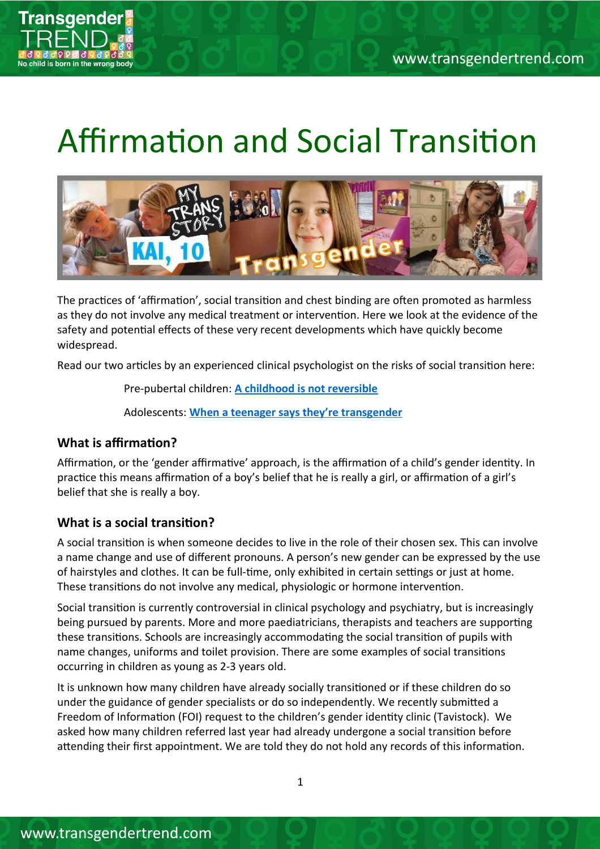

# Affirmation and Social Transition



The practices of 'affirmation', social transition and chest binding are often promoted as harmless as they do not involve any medical treatment or interventon. Here we look at the evidence of the safety and potental efects of these very recent developments which have quickly become widespread.

Read our two artcles by an experienced clinical psychologist on the risks of social transiton here:

Pre-pubertal children: **[A childhood is not reversible](https://www.transgendertrend.com/wp-content/uploads/2022/02/A-childhood-is-not-reversible.pdf)**

Adolescents: **[When a teenager says they're transgender](https://www.transgendertrend.com/wp-content/uploads/2022/04/When-a-teenager-says-theyre-transgender.pdf)**

# **What is affirmation?**

Affirmation, or the 'gender affirmative' approach, is the affirmation of a child's gender identity. In practice this means affirmation of a boy's belief that he is really a girl, or affirmation of a girl's belief that she is really a boy.

# **What is a social transiton?**

A social transiton is when someone decides to live in the role of their chosen sex. This can involve a name change and use of diferent pronouns. A person's new gender can be expressed by the use of hairstyles and clothes. It can be full-time, only exhibited in certain settings or just at home. These transitions do not involve any medical, physiologic or hormone intervention.

Social transiton is currently controversial in clinical psychology and psychiatry, but is increasingly being pursued by parents. More and more paediatricians, therapists and teachers are supporting these transitons. Schools are increasingly accommodatng the social transiton of pupils with name changes, uniforms and toilet provision. There are some examples of social transitons occurring in children as young as 2-3 years old.

It is unknown how many children have already socially transitoned or if these children do so under the guidance of gender specialists or do so independently. We recently submited a Freedom of Information (FOI) request to the children's gender identity clinic (Tavistock). We asked how many children referred last year had already undergone a social transiton before atending their frst appointment. We are told they do not hold any records of this informaton.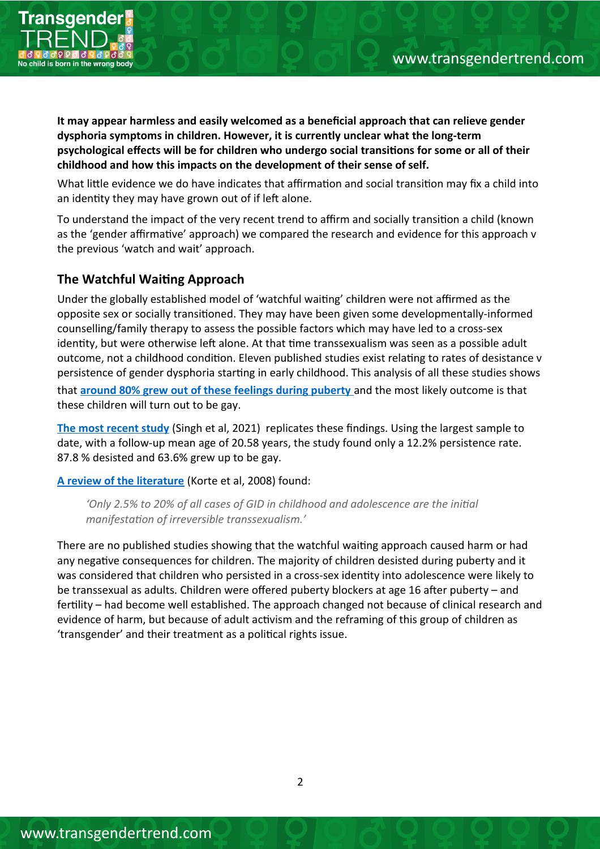

**It may appear harmless and easily welcomed as a benefcial approach that can relieve gender dysphoria symptoms in children. However, it is currently unclear what the long-term psychological efects will be for children who undergo social transitons for some or all of their childhood and how this impacts on the development of their sense of self.**

What little evidence we do have indicates that affirmation and social transition may fix a child into an identity they may have grown out of if left alone.

To understand the impact of the very recent trend to affirm and socially transition a child (known as the 'gender affirmative' approach) we compared the research and evidence for this approach v the previous 'watch and wait' approach.

# **The Watchful Waitng Approach**

Under the globally established model of 'watchful waitng' children were not afrmed as the opposite sex or socially transitoned. They may have been given some developmentally-informed counselling/family therapy to assess the possible factors which may have led to a cross-sex identity, but were otherwise left alone. At that time transsexualism was seen as a possible adult outcome, not a childhood condition. Eleven published studies exist relating to rates of desistance v persistence of gender dysphoria starting in early childhood. This analysis of all these studies shows that **[around 80% grew out of these feelings during puberty](http://www.sexologytoday.org/2016/01/do-trans-kids-stay-trans-when-they-grow_99.html)** and the most likely outcome is that these children will turn out to be gay.

**[The most recent study](https://www.frontiersin.org/articles/10.3389/fpsyt.2021.632784/full)** (Singh et al, 2021) replicates these findings. Using the largest sample to date, with a follow-up mean age of 20.58 years, the study found only a 12.2% persistence rate. 87.8 % desisted and 63.6% grew up to be gay.

**[A review of the literature](https://www.aerzteblatt.de/int/archive/article/62554)** (Korte et al, 2008) found:

*'Only 2.5% to 20% of all cases of GID in childhood and adolescence are the inital manifestaton of irreversible transsexualism.'*

There are no published studies showing that the watchful waiting approach caused harm or had any negative consequences for children. The majority of children desisted during puberty and it was considered that children who persisted in a cross-sex identty into adolescence were likely to be transsexual as adults. Children were offered puberty blockers at age 16 after puberty – and fertlity – had become well established. The approach changed not because of clinical research and evidence of harm, but because of adult actvism and the reframing of this group of children as 'transgender' and their treatment as a politcal rights issue.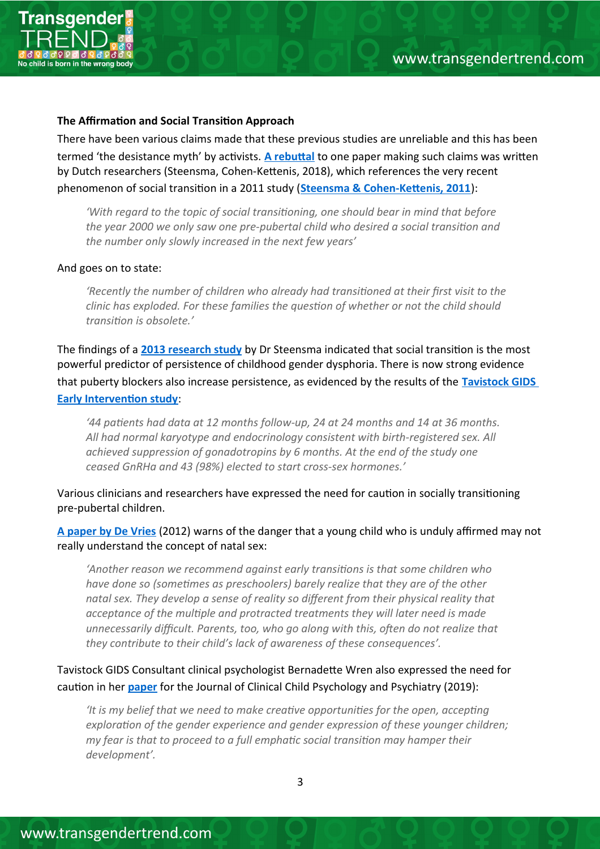



## **The Affirmation and Social Transition Approach**

There have been various claims made that these previous studies are unreliable and this has been termed 'the desistance myth' by activists. A rebuttal to one paper making such claims was written by Dutch researchers (Steensma, Cohen-Ketenis, 2018), which references the very recent phenomenon of social transition in a 2011 study (**Steensma & Cohen-Kettenis, 2011**):

*'With regard to the topic of social transitoning, one should bear in mind that before the year 2000 we only saw one pre-pubertal child who desired a social transiton and the number only slowly increased in the next few years'*

## And goes on to state:

*'Recently the number of children who already had transitoned at their frst visit to the clinic has exploded. For these families the queston of whether or not the child should transiton is obsolete.'*

The fndings of a **[2013 research study](https://www.transgendertrend.com/wp-content/uploads/2019/06/Steensma-Persistence-2013.pdf)** by Dr Steensma indicated that social transiton is the most powerful predictor of persistence of childhood gender dysphoria. There is now strong evidence that puberty blockers also increase persistence, as evidenced by the results of the **[Tavistock GIDS](https://www.medrxiv.org/content/10.1101/2020.12.01.20241653v1.full.pdf)  Early Intervention study:** 

*'44 patents had data at 12 months follow-up, 24 at 24 months and 14 at 36 months. All had normal karyotype and endocrinology consistent with birth-registered sex. All achieved suppression of gonadotropins by 6 months. At the end of the study one ceased GnRHa and 43 (98%) elected to start cross-sex hormones.'*

Various clinicians and researchers have expressed the need for cauton in socially transitoning pre-pubertal children.

**[A paper by De Vries](https://pubmed.ncbi.nlm.nih.gov/22455322/)** (2012) warns of the danger that a young child who is unduly afrmed may not really understand the concept of natal sex:

*'Another reason we recommend against early transitons is that some children who have done so (sometmes as preschoolers) barely realize that they are of the other natal sex. They develop a sense of reality so diferent from their physical reality that acceptance of the multple and protracted treatments they will later need is made unnecessarily difcult. Parents, too, who go along with this, ofen do not realize that they contribute to their child's lack of awareness of these consequences'.*

Tavistock GIDS Consultant clinical psychologist Bernadete Wren also expressed the need for cauton in her **[paper](https://journals.sagepub.com/doi/abs/10.1177/1359104519838591?journalCode=ccpa)** for the Journal of Clinical Child Psychology and Psychiatry (2019):

*'It is my belief that we need to make creatve opportunites for the open, acceptng exploration of the gender experience and gender expression of these younger children; my fear is that to proceed to a full emphatc social transiton may hamper their development'.*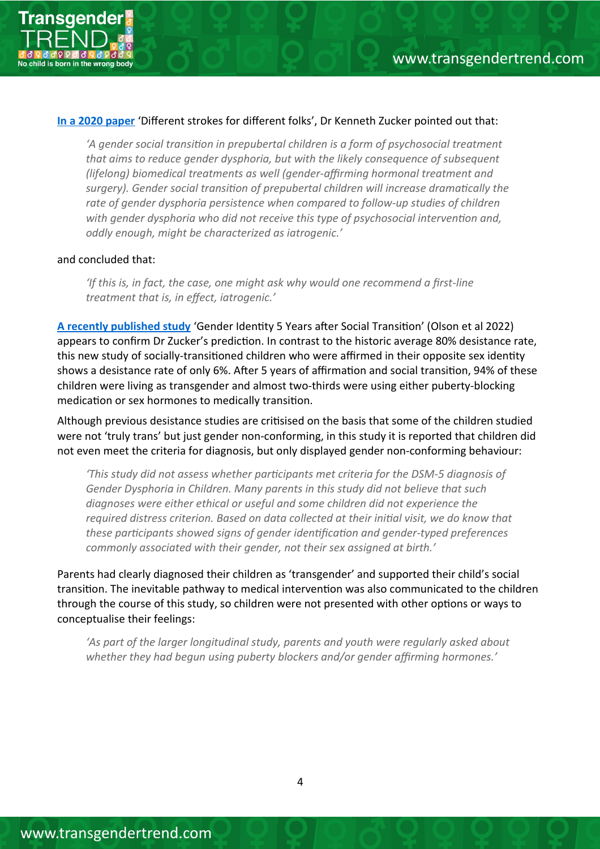

## **[In a 2020 paper](https://www.researchgate.net/profile/Kenneth-Zucker/publication/333516085_Debate_Different_strokes_for_different_folks/links/5cf4d4c2299bf1fb18531b86/Debate-Different-strokes-for-different-folks.pdf?origin=publication_detail)** 'Diferent strokes for diferent folks', Dr Kenneth Zucker pointed out that:

*'A gender social transiton in prepubertal children is a form of psychosocial treatment that aims to reduce gender dysphoria, but with the likely consequence of subsequent (lifelong) biomedical treatments as well (gender-afrming hormonal treatment and surgery). Gender social transiton of prepubertal children will increase dramatcally the*  rate of gender dysphoria persistence when compared to follow-up studies of children *with gender dysphoria who did not receive this type of psychosocial interventon and, oddly enough, might be characterized as iatrogenic.'*

## and concluded that:

*'If this is, in fact, the case, one might ask why would one recommend a frst-line treatment that is, in efect, iatrogenic.'*

**[A recently published study](https://publications.aap.org/pediatrics/article/doi/10.1542/peds.2021-056082/186992/Gender-Identity-5-Years-After-Social-Transition)** 'Gender Identty 5 Years afer Social Transiton' (Olson et al 2022) appears to confirm Dr Zucker's prediction. In contrast to the historic average 80% desistance rate, this new study of socially-transitioned children who were affirmed in their opposite sex identity shows a desistance rate of only 6%. After 5 years of affirmation and social transition, 94% of these children were living as transgender and almost two-thirds were using either puberty-blocking medication or sex hormones to medically transition.

Although previous desistance studies are critsised on the basis that some of the children studied were not 'truly trans' but just gender non-conforming, in this study it is reported that children did not even meet the criteria for diagnosis, but only displayed gender non-conforming behaviour:

*'This study did not assess whether partcipants met criteria for the DSM-5 diagnosis of Gender Dysphoria in Children. Many parents in this study did not believe that such diagnoses were either ethical or useful and some children did not experience the required distress criterion. Based on data collected at their inital visit, we do know that these partcipants showed signs of gender identfcaton and gender-typed preferences commonly associated with their gender, not their sex assigned at birth.'*

Parents had clearly diagnosed their children as 'transgender' and supported their child's social transiton. The inevitable pathway to medical interventon was also communicated to the children through the course of this study, so children were not presented with other options or ways to conceptualise their feelings:

*'As part of the larger longitudinal study, parents and youth were regularly asked about whether they had begun using puberty blockers and/or gender afrming hormones.'*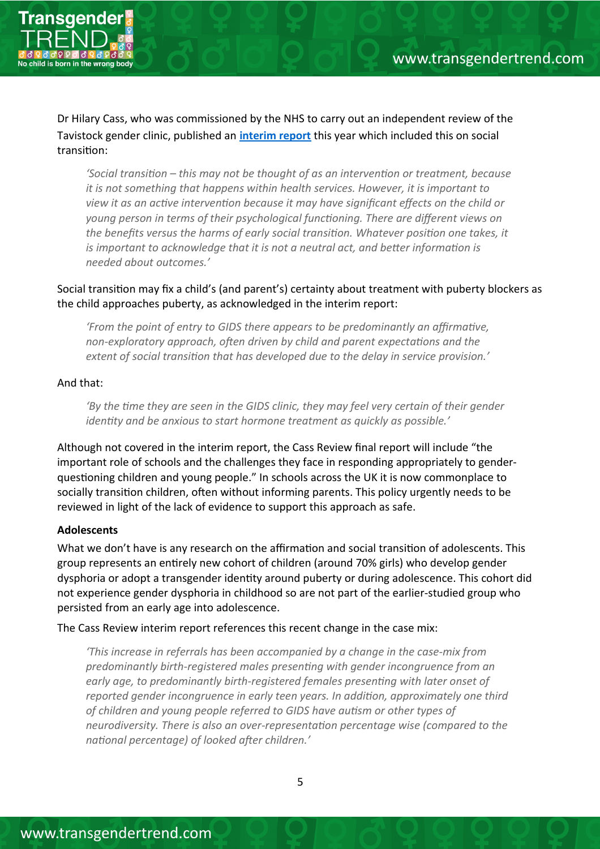

Dr Hilary Cass, who was commissioned by the NHS to carry out an independent review of the Tavistock gender clinic, published an **[interim report](https://cass.independent-review.uk/publications/interim-report/)** this year which included this on social transiton:

*'Social transiton – this may not be thought of as an interventon or treatment, because it is not something that happens within health services. However, it is important to view it as an actve interventon because it may have signifcant efects on the child or young person in terms of their psychological functoning. There are diferent views on the benefts versus the harms of early social transiton. Whatever positon one takes, it*  is important to acknowledge that it is not a neutral act, and better information is *needed about outcomes.'*

## Social transition may fix a child's (and parent's) certainty about treatment with puberty blockers as the child approaches puberty, as acknowledged in the interim report:

*'From the point of entry to GIDS there appears to be predominantly an affirmative, non-exploratory approach, ofen driven by child and parent expectatons and the extent of social transiton that has developed due to the delay in service provision.'*

## And that:

*'By the tme they are seen in the GIDS clinic, they may feel very certain of their gender identty and be anxious to start hormone treatment as quickly as possible.'*

Although not covered in the interim report, the Cass Review fnal report will include "the important role of schools and the challenges they face in responding appropriately to genderquestioning children and young people." In schools across the UK it is now commonplace to socially transition children, often without informing parents. This policy urgently needs to be reviewed in light of the lack of evidence to support this approach as safe.

#### **Adolescents**

What we don't have is any research on the affirmation and social transition of adolescents. This group represents an entrely new cohort of children (around 70% girls) who develop gender dysphoria or adopt a transgender identty around puberty or during adolescence. This cohort did not experience gender dysphoria in childhood so are not part of the earlier-studied group who persisted from an early age into adolescence.

The Cass Review interim report references this recent change in the case mix:

*'This increase in referrals has been accompanied by a change in the case-mix from predominantly birth-registered males presentng with gender incongruence from an early age, to predominantly birth-registered females presentng with later onset of reported gender incongruence in early teen years. In additon, approximately one third of children and young people referred to GIDS have autsm or other types of neurodiversity. There is also an over-representaton percentage wise (compared to the natonal percentage) of looked afer children.'*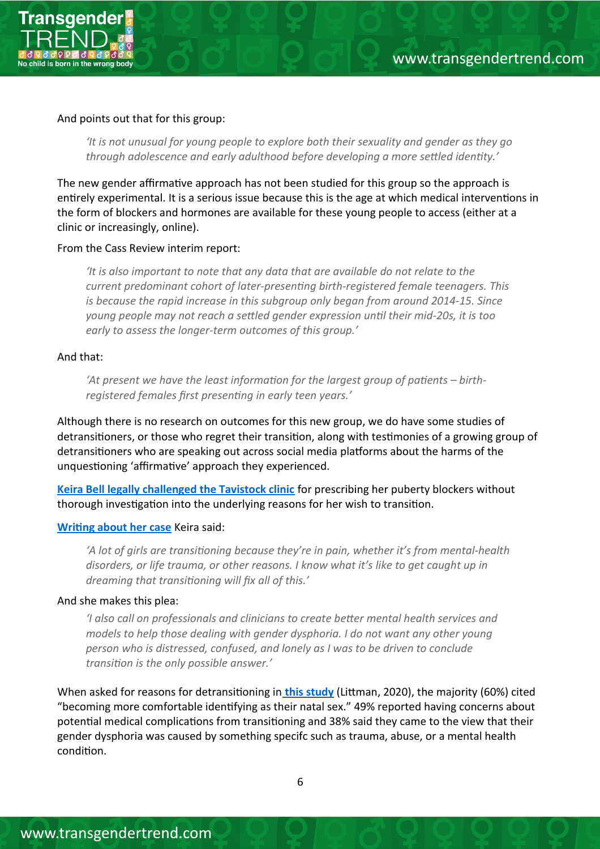

#### And points out that for this group:

*'It is not unusual for young people to explore both their sexuality and gender as they go through adolescence and early adulthood before developing a more setled identty.'*

The new gender affirmative approach has not been studied for this group so the approach is entrely experimental. It is a serious issue because this is the age at which medical interventons in the form of blockers and hormones are available for these young people to access (either at a clinic or increasingly, online).

#### From the Cass Review interim report:

*'It is also important to note that any data that are available do not relate to the current predominant cohort of later-presentng birth-registered female teenagers. This is because the rapid increase in this subgroup only began from around 2014-15. Since young people may not reach a setled gender expression untl their mid-20s, it is too early to assess the longer-term outcomes of this group.'*

#### And that:

*'At present we have the least informaton for the largest group of patents – birthregistered females frst presentng in early teen years.'* 

Although there is no research on outcomes for this new group, we do have some studies of detransitoners, or those who regret their transiton, along with testmonies of a growing group of detransitioners who are speaking out across social media platforms about the harms of the unquestioning 'affirmative' approach they experienced.

**[Keira Bell legally challenged the Tavistock clinic](https://news.sky.com/story/high-court-ruling-on-puberty-blockers-protects-teenagers-says-woman-who-sued-nhs-12147949)** for prescribing her puberty blockers without thorough investigation into the underlying reasons for her wish to transition.

#### **[Writng about her case](https://www.persuasion.community/p/keira-bell-my-story?utm_medium=email&utm_campaign=cta&s=r)** Keira said:

*'A lot of girls are transitoning because they're in pain, whether it's from mental-health disorders, or life trauma, or other reasons. I know what it's like to get caught up in dreaming that transitoning will fx all of this.'*

#### And she makes this plea:

*'I also call on professionals and clinicians to create beter mental health services and models to help those dealing with gender dysphoria. I do not want any other young person who is distressed, confused, and lonely as I was to be driven to conclude transiton is the only possible answer.'*

When asked for reasons for detransitoning in **[this study](https://link.springer.com/content/pdf/10.1007/s10508-021-02163-w.pdf)** (Litman, 2020), the majority (60%) cited "becoming more comfortable identfying as their natal sex." 49% reported having concerns about potential medical complications from transitioning and 38% said they came to the view that their gender dysphoria was caused by something specifc such as trauma, abuse, or a mental health condition.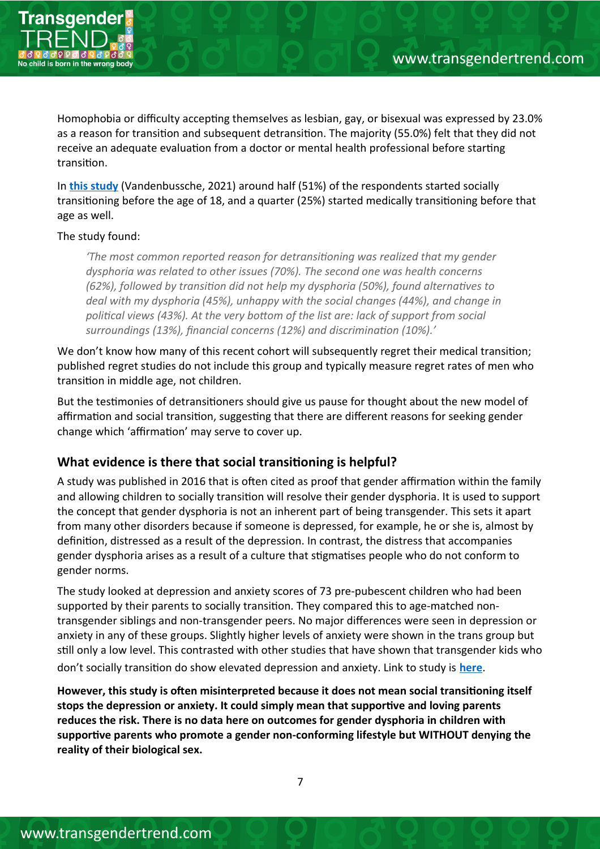

Homophobia or difficulty accepting themselves as lesbian, gay, or bisexual was expressed by 23.0% as a reason for transiton and subsequent detransiton. The majority (55.0%) felt that they did not receive an adequate evaluation from a doctor or mental health professional before starting transiton.

In **[this study](https://www.tandfonline.com/doi/full/10.1080/00918369.2021.1919479)** (Vandenbussche, 2021) around half (51%) of the respondents started socially transitoning before the age of 18, and a quarter (25%) started medically transitoning before that age as well.

## The study found:

*'The most common reported reason for detransitoning was realized that my gender dysphoria was related to other issues (70%). The second one was health concerns (62%), followed by transiton did not help my dysphoria (50%), found alternatves to deal with my dysphoria (45%), unhappy with the social changes (44%), and change in politcal views (43%). At the very botom of the list are: lack of support from social surroundings (13%), fnancial concerns (12%) and discriminaton (10%).'*

We don't know how many of this recent cohort will subsequently regret their medical transition; published regret studies do not include this group and typically measure regret rates of men who transiton in middle age, not children.

But the testmonies of detransitoners should give us pause for thought about the new model of affirmation and social transition, suggesting that there are different reasons for seeking gender change which 'affirmation' may serve to cover up.

# **What evidence is there that social transitoning is helpful?**

A study was published in 2016 that is often cited as proof that gender affirmation within the family and allowing children to socially transiton will resolve their gender dysphoria. It is used to support the concept that gender dysphoria is not an inherent part of being transgender. This sets it apart from many other disorders because if someone is depressed, for example, he or she is, almost by definition, distressed as a result of the depression. In contrast, the distress that accompanies gender dysphoria arises as a result of a culture that stgmatses people who do not conform to gender norms.

The study looked at depression and anxiety scores of 73 pre-pubescent children who had been supported by their parents to socially transiton. They compared this to age-matched nontransgender siblings and non-transgender peers. No major diferences were seen in depression or anxiety in any of these groups. Slightly higher levels of anxiety were shown in the trans group but stll only a low level. This contrasted with other studies that have shown that transgender kids who don't socially transiton do show elevated depression and anxiety. Link to study is **[here](https://www.transgendertrend.com/wp-content/uploads/2017/10/Olson-2016_gender-affirmation.pdf)**.

**However, this study is ofen misinterpreted because it does not mean social transitoning itself stops the depression or anxiety. It could simply mean that supportve and loving parents reduces the risk. There is no data here on outcomes for gender dysphoria in children with supportve parents who promote a gender non-conforming lifestyle but WITHOUT denying the reality of their biological sex.**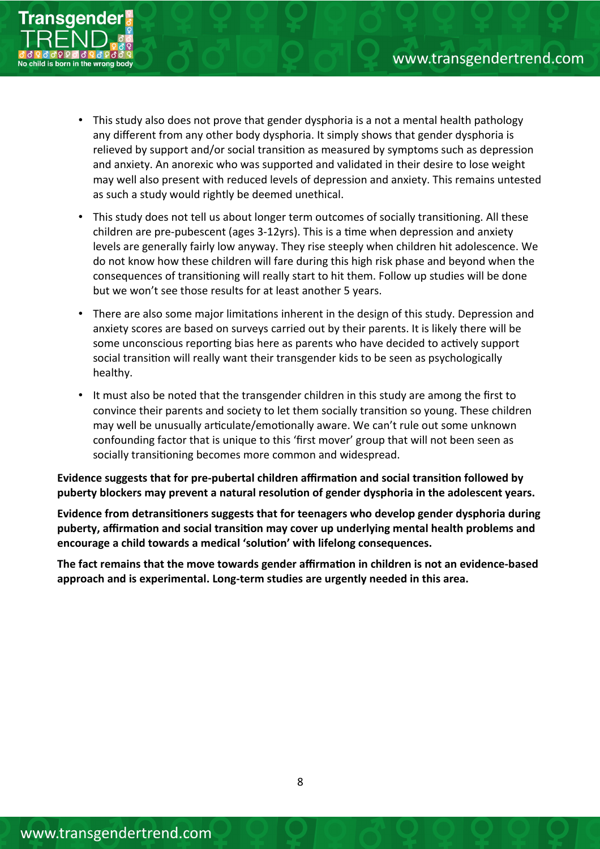

- This study also does not prove that gender dysphoria is a not a mental health pathology any diferent from any other body dysphoria. It simply shows that gender dysphoria is relieved by support and/or social transiton as measured by symptoms such as depression and anxiety. An anorexic who was supported and validated in their desire to lose weight may well also present with reduced levels of depression and anxiety. This remains untested as such a study would rightly be deemed unethical.
- This study does not tell us about longer term outcomes of socially transitoning. All these children are pre-pubescent (ages 3-12yrs). This is a tme when depression and anxiety levels are generally fairly low anyway. They rise steeply when children hit adolescence. We do not know how these children will fare during this high risk phase and beyond when the consequences of transitoning will really start to hit them. Follow up studies will be done but we won't see those results for at least another 5 years.
- There are also some major limitations inherent in the design of this study. Depression and anxiety scores are based on surveys carried out by their parents. It is likely there will be some unconscious reporting bias here as parents who have decided to actively support social transiton will really want their transgender kids to be seen as psychologically healthy.
- It must also be noted that the transgender children in this study are among the frst to convince their parents and society to let them socially transiton so young. These children may well be unusually articulate/emotionally aware. We can't rule out some unknown confounding factor that is unique to this 'frst mover' group that will not been seen as socially transitoning becomes more common and widespread.

Evidence suggests that for pre-pubertal children affirmation and social transition followed by **puberty blockers may prevent a natural resoluton of gender dysphoria in the adolescent years.**

**Evidence from detransitoners suggests that for teenagers who develop gender dysphoria during puberty, afrmaton and social transiton may cover up underlying mental health problems and encourage a child towards a medical 'soluton' with lifelong consequences.** 

The fact remains that the move towards gender affirmation in children is not an evidence-based **approach and is experimental. Long-term studies are urgently needed in this area.**